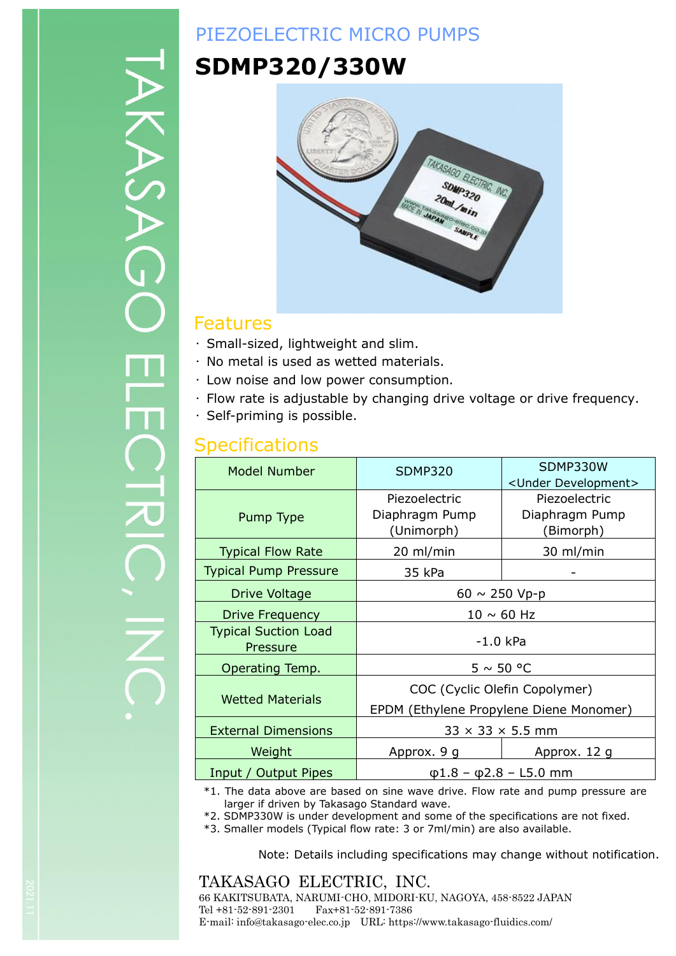# ヘクノ

# PIEZOELECTRIC MICRO PUMPS

# **SDMP320/330W**



### Features

- ・ Small-sized, lightweight and slim.
- ・ No metal is used as wetted materials.
- ・ Low noise and low power consumption.
- ・ Flow rate is adjustable by changing drive voltage or drive frequency.
- ・ Self-priming is possible.

### **Specifications**

| <b>Model Number</b>                     | <b>SDMP320</b>                                                                                | SDMP330W<br><under development=""></under> |  |
|-----------------------------------------|-----------------------------------------------------------------------------------------------|--------------------------------------------|--|
| Pump Type                               | Piezoelectric<br>Piezoelectric<br>Diaphragm Pump<br>Diaphragm Pump<br>(Unimorph)<br>(Bimorph) |                                            |  |
| <b>Typical Flow Rate</b>                | 20 ml/min                                                                                     | 30 ml/min                                  |  |
| <b>Typical Pump Pressure</b>            | 35 kPa                                                                                        |                                            |  |
| Drive Voltage                           | $60 \sim 250 \text{ Vp-p}$                                                                    |                                            |  |
| Drive Frequency                         | $10 \sim 60$ Hz                                                                               |                                            |  |
| <b>Typical Suction Load</b><br>Pressure | -1.0 kPa                                                                                      |                                            |  |
| Operating Temp.                         | $5 \sim 50$ °C                                                                                |                                            |  |
| <b>Wetted Materials</b>                 | COC (Cyclic Olefin Copolymer)<br>EPDM (Ethylene Propylene Diene Monomer)                      |                                            |  |
| <b>External Dimensions</b>              | $33 \times 33 \times 5.5$ mm                                                                  |                                            |  |
| Weight                                  | Approx. 9 g                                                                                   | Approx. 12 g                               |  |
| Input / Output Pipes                    | $\phi$ 1.8 - $\phi$ 2.8 - L5.0 mm                                                             |                                            |  |

\*1. The data above are based on sine wave drive. Flow rate and pump pressure are larger if driven by Takasago Standard wave.

\*2. SDMP330W is under development and some of the specifications are not fixed.

\*3. Smaller models (Typical flow rate: 3 or 7ml/min) are also available.

Note: Details including specifications may change without notification.

TAKASAGO ELECTRIC, INC. 66 KAKITSUBATA, NARUMI-CHO, MIDORI-KU, NAGOYA, 458-8522 JAPAN Tel +81-52-891-2301 Fax+81-52-891-7386 E-mail: info@takasago-elec.co.jp URL: https://www.takasago-fluidics.com/